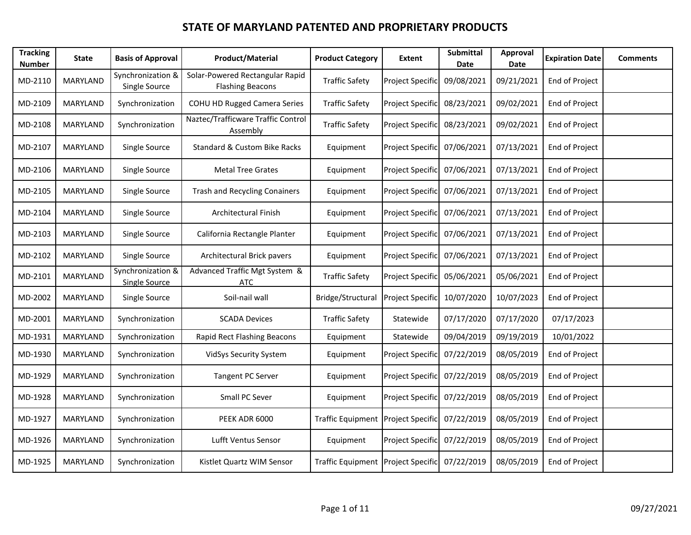| <b>Tracking</b><br><b>Number</b> | <b>State</b>    | <b>Basis of Approval</b>                  | <b>Product/Material</b>                                    | <b>Product Category</b>            | <b>Extent</b>           | <b>Submittal</b><br>Date | <b>Approval</b><br>Date | <b>Expiration Date</b> | <b>Comments</b> |
|----------------------------------|-----------------|-------------------------------------------|------------------------------------------------------------|------------------------------------|-------------------------|--------------------------|-------------------------|------------------------|-----------------|
| MD-2110                          | <b>MARYLAND</b> | Synchronization &<br>Single Source        | Solar-Powered Rectangular Rapid<br><b>Flashing Beacons</b> | <b>Traffic Safety</b>              | <b>Project Specific</b> | 09/08/2021               | 09/21/2021              | End of Project         |                 |
| MD-2109                          | MARYLAND        | Synchronization                           | <b>COHU HD Rugged Camera Series</b>                        | <b>Traffic Safety</b>              | <b>Project Specific</b> | 08/23/2021               | 09/02/2021              | End of Project         |                 |
| MD-2108                          | MARYLAND        | Synchronization                           | Naztec/Trafficware Traffic Control<br>Assembly             | <b>Traffic Safety</b>              | Project Specific        | 08/23/2021               | 09/02/2021              | End of Project         |                 |
| MD-2107                          | MARYLAND        | Single Source                             | <b>Standard &amp; Custom Bike Racks</b>                    | Equipment                          | Project Specific        | 07/06/2021               | 07/13/2021              | End of Project         |                 |
| MD-2106                          | MARYLAND        | Single Source                             | <b>Metal Tree Grates</b>                                   | Equipment                          | Project Specific        | 07/06/2021               | 07/13/2021              | End of Project         |                 |
| MD-2105                          | MARYLAND        | Single Source                             | <b>Trash and Recycling Conainers</b>                       | Equipment                          | <b>Project Specific</b> | 07/06/2021               | 07/13/2021              | End of Project         |                 |
| MD-2104                          | MARYLAND        | Single Source                             | Architectural Finish                                       | Equipment                          | Project Specific        | 07/06/2021               | 07/13/2021              | End of Project         |                 |
| MD-2103                          | MARYLAND        | Single Source                             | California Rectangle Planter                               | Equipment                          | Project Specific        | 07/06/2021               | 07/13/2021              | End of Project         |                 |
| MD-2102                          | MARYLAND        | Single Source                             | Architectural Brick pavers                                 | Equipment                          | Project Specific        | 07/06/2021               | 07/13/2021              | End of Project         |                 |
| MD-2101                          | <b>MARYLAND</b> | Synchronization &<br><b>Single Source</b> | Advanced Traffic Mgt System &<br><b>ATC</b>                | <b>Traffic Safety</b>              | Project Specific        | 05/06/2021               | 05/06/2021              | End of Project         |                 |
| MD-2002                          | MARYLAND        | Single Source                             | Soil-nail wall                                             | Bridge/Structural                  | Project Specific        | 10/07/2020               | 10/07/2023              | End of Project         |                 |
| MD-2001                          | MARYLAND        | Synchronization                           | <b>SCADA Devices</b>                                       | <b>Traffic Safety</b>              | Statewide               | 07/17/2020               | 07/17/2020              | 07/17/2023             |                 |
| MD-1931                          | <b>MARYLAND</b> | Synchronization                           | Rapid Rect Flashing Beacons                                | Equipment                          | Statewide               | 09/04/2019               | 09/19/2019              | 10/01/2022             |                 |
| MD-1930                          | MARYLAND        | Synchronization                           | VidSys Security System                                     | Equipment                          | <b>Project Specific</b> | 07/22/2019               | 08/05/2019              | End of Project         |                 |
| MD-1929                          | MARYLAND        | Synchronization                           | Tangent PC Server                                          | Equipment                          | Project Specific        | 07/22/2019               | 08/05/2019              | End of Project         |                 |
| MD-1928                          | MARYLAND        | Synchronization                           | Small PC Sever                                             | Equipment                          | <b>Project Specific</b> | 07/22/2019               | 08/05/2019              | End of Project         |                 |
| MD-1927                          | MARYLAND        | Synchronization                           | PEEK ADR 6000                                              | <b>Traffic Equipment</b>           | Project Specific        | 07/22/2019               | 08/05/2019              | End of Project         |                 |
| MD-1926                          | MARYLAND        | Synchronization                           | Lufft Ventus Sensor                                        | Equipment                          | Project Specific        | 07/22/2019               | 08/05/2019              | End of Project         |                 |
| MD-1925                          | MARYLAND        | Synchronization                           | Kistlet Quartz WIM Sensor                                  | Traffic Equipment Project Specific |                         | 07/22/2019               | 08/05/2019              | End of Project         |                 |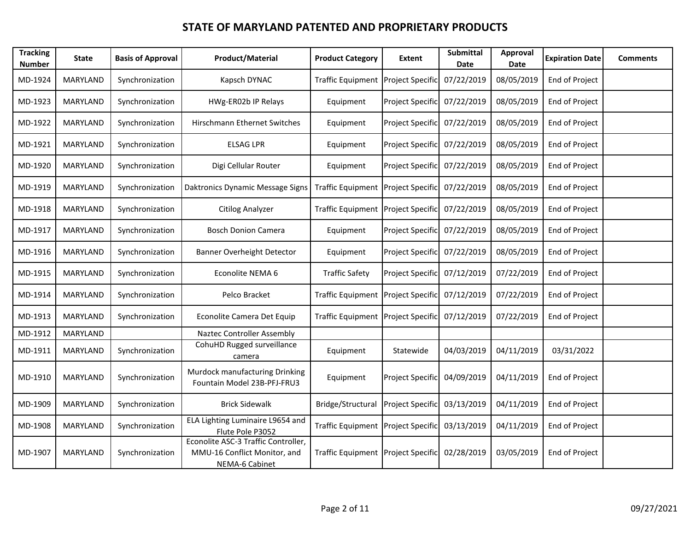| <b>Tracking</b><br><b>Number</b> | <b>State</b> | <b>Basis of Approval</b> | <b>Product/Material</b>                                                               | <b>Product Category</b>            | Extent           | <b>Submittal</b><br>Date | Approval<br>Date | <b>Expiration Date</b> | <b>Comments</b> |
|----------------------------------|--------------|--------------------------|---------------------------------------------------------------------------------------|------------------------------------|------------------|--------------------------|------------------|------------------------|-----------------|
| MD-1924                          | MARYLAND     | Synchronization          | Kapsch DYNAC                                                                          | Traffic Equipment Project Specific |                  | 07/22/2019               | 08/05/2019       | End of Project         |                 |
| MD-1923                          | MARYLAND     | Synchronization          | HWg-ER02b IP Relays                                                                   | Equipment                          | Project Specific | 07/22/2019               | 08/05/2019       | End of Project         |                 |
| MD-1922                          | MARYLAND     | Synchronization          | Hirschmann Ethernet Switches                                                          | Equipment                          | Project Specific | 07/22/2019               | 08/05/2019       | End of Project         |                 |
| MD-1921                          | MARYLAND     | Synchronization          | <b>ELSAG LPR</b>                                                                      | Equipment                          | Project Specific | 07/22/2019               | 08/05/2019       | End of Project         |                 |
| MD-1920                          | MARYLAND     | Synchronization          | Digi Cellular Router                                                                  | Equipment                          | Project Specific | 07/22/2019               | 08/05/2019       | End of Project         |                 |
| MD-1919                          | MARYLAND     | Synchronization          | Daktronics Dynamic Message Signs                                                      | Traffic Equipment Project Specific |                  | 07/22/2019               | 08/05/2019       | End of Project         |                 |
| MD-1918                          | MARYLAND     | Synchronization          | <b>Citilog Analyzer</b>                                                               | Traffic Equipment Project Specific |                  | 07/22/2019               | 08/05/2019       | End of Project         |                 |
| MD-1917                          | MARYLAND     | Synchronization          | <b>Bosch Donion Camera</b>                                                            | Equipment                          | Project Specific | 07/22/2019               | 08/05/2019       | End of Project         |                 |
| MD-1916                          | MARYLAND     | Synchronization          | Banner Overheight Detector                                                            | Equipment                          | Project Specific | 07/22/2019               | 08/05/2019       | End of Project         |                 |
| MD-1915                          | MARYLAND     | Synchronization          | Econolite NEMA 6                                                                      | <b>Traffic Safety</b>              | Project Specific | 07/12/2019               | 07/22/2019       | End of Project         |                 |
| MD-1914                          | MARYLAND     | Synchronization          | Pelco Bracket                                                                         | Traffic Equipment Project Specific |                  | 07/12/2019               | 07/22/2019       | End of Project         |                 |
| MD-1913                          | MARYLAND     | Synchronization          | Econolite Camera Det Equip                                                            | Traffic Equipment Project Specific |                  | 07/12/2019               | 07/22/2019       | End of Project         |                 |
| MD-1912                          | MARYLAND     |                          | <b>Naztec Controller Assembly</b>                                                     |                                    |                  |                          |                  |                        |                 |
| MD-1911                          | MARYLAND     | Synchronization          | CohuHD Rugged surveillance<br>camera                                                  | Equipment                          | Statewide        | 04/03/2019               | 04/11/2019       | 03/31/2022             |                 |
| MD-1910                          | MARYLAND     | Synchronization          | Murdock manufacturing Drinking<br>Fountain Model 23B-PFJ-FRU3                         | Equipment                          | Project Specific | 04/09/2019               | 04/11/2019       | <b>End of Project</b>  |                 |
| MD-1909                          | MARYLAND     | Synchronization          | <b>Brick Sidewalk</b>                                                                 | Bridge/Structural                  | Project Specific | 03/13/2019               | 04/11/2019       | End of Project         |                 |
| MD-1908                          | MARYLAND     | Synchronization          | ELA Lighting Luminaire L9654 and<br>Flute Pole P3052                                  | Traffic Equipment Project Specific |                  | 03/13/2019               | 04/11/2019       | End of Project         |                 |
| MD-1907                          | MARYLAND     | Synchronization          | Econolite ASC-3 Traffic Controller,<br>MMU-16 Conflict Monitor, and<br>NEMA-6 Cabinet | Traffic Equipment Project Specific |                  | 02/28/2019               | 03/05/2019       | End of Project         |                 |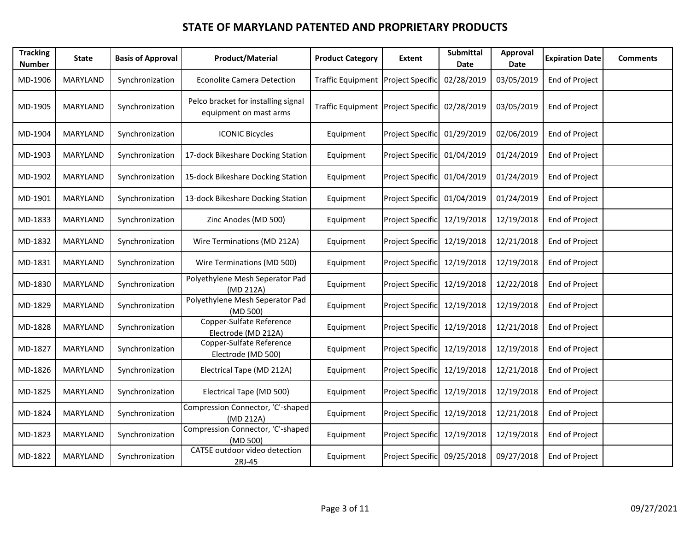| <b>Tracking</b><br><b>Number</b> | State    | <b>Basis of Approval</b> | <b>Product/Material</b>                                       | <b>Product Category</b>            | Extent                      | <b>Submittal</b><br>Date | Approval<br>Date | <b>Expiration Date</b> | <b>Comments</b> |
|----------------------------------|----------|--------------------------|---------------------------------------------------------------|------------------------------------|-----------------------------|--------------------------|------------------|------------------------|-----------------|
| MD-1906                          | MARYLAND | Synchronization          | <b>Econolite Camera Detection</b>                             | Traffic Equipment Project Specific |                             | 02/28/2019               | 03/05/2019       | End of Project         |                 |
| MD-1905                          | MARYLAND | Synchronization          | Pelco bracket for installing signal<br>equipment on mast arms | Traffic Equipment Project Specific |                             | 02/28/2019               | 03/05/2019       | End of Project         |                 |
| MD-1904                          | MARYLAND | Synchronization          | <b>ICONIC Bicycles</b>                                        | Equipment                          | Project Specific            | 01/29/2019               | 02/06/2019       | End of Project         |                 |
| MD-1903                          | MARYLAND | Synchronization          | 17-dock Bikeshare Docking Station                             | Equipment                          | <b>Project Specific</b>     | 01/04/2019               | 01/24/2019       | End of Project         |                 |
| MD-1902                          | MARYLAND | Synchronization          | 15-dock Bikeshare Docking Station                             | Equipment                          | Project Specific            | 01/04/2019               | 01/24/2019       | End of Project         |                 |
| MD-1901                          | MARYLAND | Synchronization          | 13-dock Bikeshare Docking Station                             | Equipment                          | Project Specific            | 01/04/2019               | 01/24/2019       | End of Project         |                 |
| MD-1833                          | MARYLAND | Synchronization          | Zinc Anodes (MD 500)                                          | Equipment                          | Project Specific            | 12/19/2018               | 12/19/2018       | End of Project         |                 |
| MD-1832                          | MARYLAND | Synchronization          | Wire Terminations (MD 212A)                                   | Equipment                          | Project Specific            | 12/19/2018               | 12/21/2018       | End of Project         |                 |
| MD-1831                          | MARYLAND | Synchronization          | Wire Terminations (MD 500)                                    | Equipment                          | Project Specific            | 12/19/2018               | 12/19/2018       | End of Project         |                 |
| MD-1830                          | MARYLAND | Synchronization          | Polyethylene Mesh Seperator Pad<br>(MD 212A)                  | Equipment                          | Project Specific            | 12/19/2018               | 12/22/2018       | End of Project         |                 |
| MD-1829                          | MARYLAND | Synchronization          | Polyethylene Mesh Seperator Pad<br>(MD 500)                   | Equipment                          | Project Specific            | 12/19/2018               | 12/19/2018       | End of Project         |                 |
| MD-1828                          | MARYLAND | Synchronization          | Copper-Sulfate Reference<br>Electrode (MD 212A)               | Equipment                          | Project Specific            | 12/19/2018               | 12/21/2018       | End of Project         |                 |
| MD-1827                          | MARYLAND | Synchronization          | Copper-Sulfate Reference<br>Electrode (MD 500)                | Equipment                          | Project Specific            | 12/19/2018               | 12/19/2018       | End of Project         |                 |
| MD-1826                          | MARYLAND | Synchronization          | Electrical Tape (MD 212A)                                     | Equipment                          | Project Specific            | 12/19/2018               | 12/21/2018       | End of Project         |                 |
| MD-1825                          | MARYLAND | Synchronization          | Electrical Tape (MD 500)                                      | Equipment                          | Project Specific            | 12/19/2018               | 12/19/2018       | End of Project         |                 |
| MD-1824                          | MARYLAND | Synchronization          | Compression Connector, 'C'-shaped<br>(MD 212A)                | Equipment                          | Project Specific            | 12/19/2018               | 12/21/2018       | End of Project         |                 |
| MD-1823                          | MARYLAND | Synchronization          | Compression Connector, 'C'-shaped<br>(MD 500)                 | Equipment                          | Project Specific            | 12/19/2018               | 12/19/2018       | End of Project         |                 |
| MD-1822                          | MARYLAND | Synchronization          | CAT5E outdoor video detection<br>2RJ-45                       | Equipment                          | Project Specific 09/25/2018 |                          | 09/27/2018       | End of Project         |                 |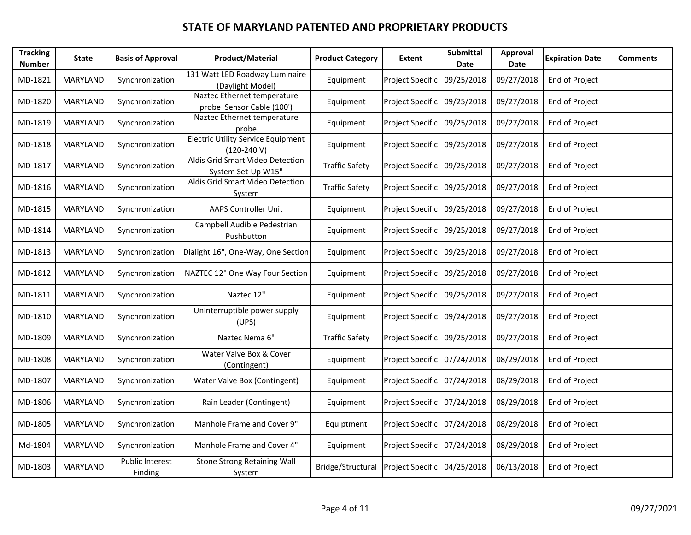| <b>Tracking</b><br><b>Number</b> | <b>State</b>    | <b>Basis of Approval</b>   | <b>Product/Material</b>                                    | <b>Product Category</b> | <b>Extent</b>               | <b>Submittal</b><br>Date | Approval<br>Date | <b>Expiration Date</b> | <b>Comments</b> |
|----------------------------------|-----------------|----------------------------|------------------------------------------------------------|-------------------------|-----------------------------|--------------------------|------------------|------------------------|-----------------|
| MD-1821                          | MARYLAND        | Synchronization            | 131 Watt LED Roadway Luminaire<br>(Daylight Model)         | Equipment               | <b>Project Specific</b>     | 09/25/2018               | 09/27/2018       | End of Project         |                 |
| MD-1820                          | <b>MARYLAND</b> | Synchronization            | Naztec Ethernet temperature<br>probe Sensor Cable (100')   | Equipment               | Project Specific            | 09/25/2018               | 09/27/2018       | End of Project         |                 |
| MD-1819                          | <b>MARYLAND</b> | Synchronization            | Naztec Ethernet temperature<br>probe                       | Equipment               | <b>Project Specific</b>     | 09/25/2018               | 09/27/2018       | End of Project         |                 |
| MD-1818                          | MARYLAND        | Synchronization            | <b>Electric Utility Service Equipment</b><br>$(120-240 V)$ | Equipment               | Project Specific            | 09/25/2018               | 09/27/2018       | End of Project         |                 |
| MD-1817                          | MARYLAND        | Synchronization            | Aldis Grid Smart Video Detection<br>System Set-Up W15"     | <b>Traffic Safety</b>   | Project Specific            | 09/25/2018               | 09/27/2018       | End of Project         |                 |
| MD-1816                          | MARYLAND        | Synchronization            | Aldis Grid Smart Video Detection<br>System                 | <b>Traffic Safety</b>   | Project Specific            | 09/25/2018               | 09/27/2018       | End of Project         |                 |
| MD-1815                          | <b>MARYLAND</b> | Synchronization            | <b>AAPS Controller Unit</b>                                | Equipment               | Project Specific            | 09/25/2018               | 09/27/2018       | End of Project         |                 |
| MD-1814                          | MARYLAND        | Synchronization            | Campbell Audible Pedestrian<br>Pushbutton                  | Equipment               | Project Specific            | 09/25/2018               | 09/27/2018       | End of Project         |                 |
| MD-1813                          | MARYLAND        | Synchronization            | Dialight 16", One-Way, One Section                         | Equipment               | Project Specific            | 09/25/2018               | 09/27/2018       | End of Project         |                 |
| MD-1812                          | <b>MARYLAND</b> | Synchronization            | NAZTEC 12" One Way Four Section                            | Equipment               | Project Specific            | 09/25/2018               | 09/27/2018       | End of Project         |                 |
| MD-1811                          | MARYLAND        | Synchronization            | Naztec 12"                                                 | Equipment               | Project Specific            | 09/25/2018               | 09/27/2018       | End of Project         |                 |
| MD-1810                          | MARYLAND        | Synchronization            | Uninterruptible power supply<br>(UPS)                      | Equipment               | Project Specific            | 09/24/2018               | 09/27/2018       | End of Project         |                 |
| MD-1809                          | MARYLAND        | Synchronization            | Naztec Nema 6"                                             | <b>Traffic Safety</b>   | Project Specific            | 09/25/2018               | 09/27/2018       | End of Project         |                 |
| MD-1808                          | <b>MARYLAND</b> | Synchronization            | Water Valve Box & Cover<br>(Contingent)                    | Equipment               | <b>Project Specific</b>     | 07/24/2018               | 08/29/2018       | End of Project         |                 |
| MD-1807                          | MARYLAND        | Synchronization            | Water Valve Box (Contingent)                               | Equipment               | Project Specific            | 07/24/2018               | 08/29/2018       | End of Project         |                 |
| MD-1806                          | MARYLAND        | Synchronization            | Rain Leader (Contingent)                                   | Equipment               | Project Specific            | 07/24/2018               | 08/29/2018       | End of Project         |                 |
| MD-1805                          | MARYLAND        | Synchronization            | Manhole Frame and Cover 9"                                 | Equiptment              | Project Specific            | 07/24/2018               | 08/29/2018       | End of Project         |                 |
| Md-1804                          | MARYLAND        | Synchronization            | Manhole Frame and Cover 4"                                 | Equipment               | Project Specific            | 07/24/2018               | 08/29/2018       | End of Project         |                 |
| MD-1803                          | MARYLAND        | Public Interest<br>Finding | Stone Strong Retaining Wall<br>System                      | Bridge/Structural       | Project Specific 04/25/2018 |                          | 06/13/2018       | End of Project         |                 |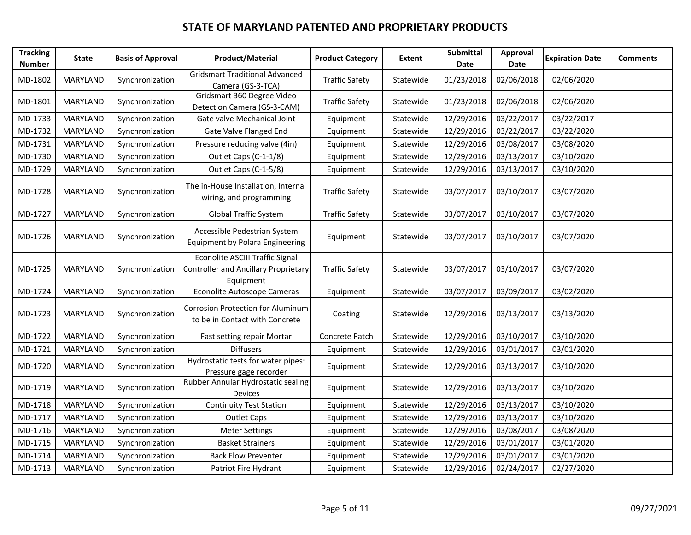| <b>Tracking</b><br><b>Number</b> | <b>State</b>    | <b>Basis of Approval</b> | <b>Product/Material</b>                                                                            | <b>Product Category</b> | Extent    | <b>Submittal</b><br>Date | <b>Approval</b><br>Date | <b>Expiration Date</b> | <b>Comments</b> |
|----------------------------------|-----------------|--------------------------|----------------------------------------------------------------------------------------------------|-------------------------|-----------|--------------------------|-------------------------|------------------------|-----------------|
| MD-1802                          | MARYLAND        | Synchronization          | <b>Gridsmart Traditional Advanced</b><br>Camera (GS-3-TCA)                                         | <b>Traffic Safety</b>   | Statewide | 01/23/2018               | 02/06/2018              | 02/06/2020             |                 |
| MD-1801                          | MARYLAND        | Synchronization          | Gridsmart 360 Degree Video<br>Detection Camera (GS-3-CAM)                                          | <b>Traffic Safety</b>   | Statewide | 01/23/2018               | 02/06/2018              | 02/06/2020             |                 |
| MD-1733                          | <b>MARYLAND</b> | Synchronization          | Gate valve Mechanical Joint                                                                        | Equipment               | Statewide | 12/29/2016               | 03/22/2017              | 03/22/2017             |                 |
| MD-1732                          | MARYLAND        | Synchronization          | Gate Valve Flanged End                                                                             | Equipment               | Statewide | 12/29/2016               | 03/22/2017              | 03/22/2020             |                 |
| MD-1731                          | MARYLAND        | Synchronization          | Pressure reducing valve (4in)                                                                      | Equipment               | Statewide | 12/29/2016               | 03/08/2017              | 03/08/2020             |                 |
| MD-1730                          | MARYLAND        | Synchronization          | Outlet Caps (C-1-1/8)                                                                              | Equipment               | Statewide | 12/29/2016               | 03/13/2017              | 03/10/2020             |                 |
| MD-1729                          | MARYLAND        | Synchronization          | Outlet Caps (C-1-5/8)                                                                              | Equipment               | Statewide | 12/29/2016               | 03/13/2017              | 03/10/2020             |                 |
| MD-1728                          | MARYLAND        | Synchronization          | The in-House Installation, Internal<br>wiring, and programming                                     | <b>Traffic Safety</b>   | Statewide | 03/07/2017               | 03/10/2017              | 03/07/2020             |                 |
| MD-1727                          | MARYLAND        | Synchronization          | <b>Global Traffic System</b>                                                                       | <b>Traffic Safety</b>   | Statewide | 03/07/2017               | 03/10/2017              | 03/07/2020             |                 |
| MD-1726                          | MARYLAND        | Synchronization          | Accessible Pedestrian System<br><b>Equipment by Polara Engineering</b>                             | Equipment               | Statewide | 03/07/2017               | 03/10/2017              | 03/07/2020             |                 |
| MD-1725                          | MARYLAND        | Synchronization          | <b>Econolite ASCIII Traffic Signal</b><br><b>Controller and Ancillary Proprietary</b><br>Equipment | <b>Traffic Safety</b>   | Statewide | 03/07/2017               | 03/10/2017              | 03/07/2020             |                 |
| MD-1724                          | MARYLAND        | Synchronization          | Econolite Autoscope Cameras                                                                        | Equipment               | Statewide | 03/07/2017               | 03/09/2017              | 03/02/2020             |                 |
| MD-1723                          | MARYLAND        | Synchronization          | <b>Corrosion Protection for Aluminum</b><br>to be in Contact with Concrete                         | Coating                 | Statewide | 12/29/2016               | 03/13/2017              | 03/13/2020             |                 |
| MD-1722                          | MARYLAND        | Synchronization          | Fast setting repair Mortar                                                                         | Concrete Patch          | Statewide | 12/29/2016               | 03/10/2017              | 03/10/2020             |                 |
| MD-1721                          | MARYLAND        | Synchronization          | <b>Diffusers</b>                                                                                   | Equipment               | Statewide | 12/29/2016               | 03/01/2017              | 03/01/2020             |                 |
| MD-1720                          | MARYLAND        | Synchronization          | Hydrostatic tests for water pipes:<br>Pressure gage recorder                                       | Equipment               | Statewide | 12/29/2016               | 03/13/2017              | 03/10/2020             |                 |
| MD-1719                          | MARYLAND        | Synchronization          | Rubber Annular Hydrostatic sealing<br>Devices                                                      | Equipment               | Statewide | 12/29/2016               | 03/13/2017              | 03/10/2020             |                 |
| MD-1718                          | <b>MARYLAND</b> | Synchronization          | <b>Continuity Test Station</b>                                                                     | Equipment               | Statewide | 12/29/2016               | 03/13/2017              | 03/10/2020             |                 |
| MD-1717                          | MARYLAND        | Synchronization          | <b>Outlet Caps</b>                                                                                 | Equipment               | Statewide | 12/29/2016               | 03/13/2017              | 03/10/2020             |                 |
| MD-1716                          | MARYLAND        | Synchronization          | <b>Meter Settings</b>                                                                              | Equipment               | Statewide | 12/29/2016               | 03/08/2017              | 03/08/2020             |                 |
| MD-1715                          | MARYLAND        | Synchronization          | <b>Basket Strainers</b>                                                                            | Equipment               | Statewide | 12/29/2016               | 03/01/2017              | 03/01/2020             |                 |
| MD-1714                          | MARYLAND        | Synchronization          | <b>Back Flow Preventer</b>                                                                         | Equipment               | Statewide | 12/29/2016               | 03/01/2017              | 03/01/2020             |                 |
| MD-1713                          | <b>MARYLAND</b> | Synchronization          | Patriot Fire Hydrant                                                                               | Equipment               | Statewide | 12/29/2016               | 02/24/2017              | 02/27/2020             |                 |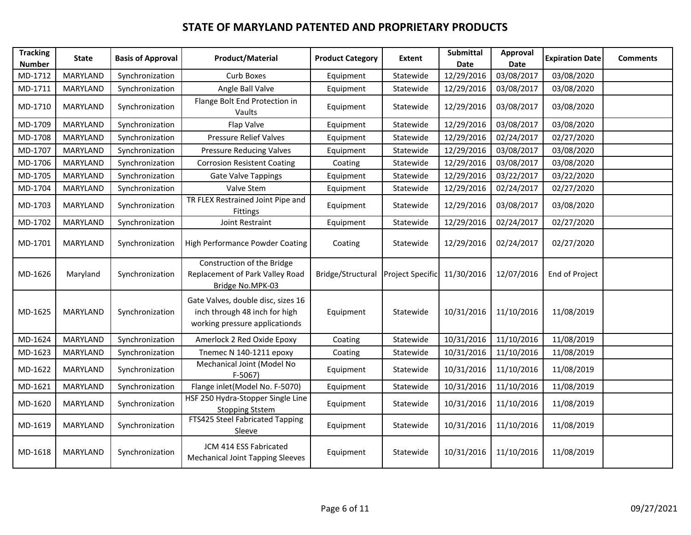| <b>Tracking</b><br><b>Number</b> | <b>State</b>    | <b>Basis of Approval</b> | <b>Product/Material</b>                                                                               | <b>Product Category</b> | <b>Extent</b>    | <b>Submittal</b><br>Date | Approval<br><b>Date</b> | <b>Expiration Date</b> | <b>Comments</b> |
|----------------------------------|-----------------|--------------------------|-------------------------------------------------------------------------------------------------------|-------------------------|------------------|--------------------------|-------------------------|------------------------|-----------------|
| MD-1712                          | MARYLAND        | Synchronization          | Curb Boxes                                                                                            | Equipment               | Statewide        | 12/29/2016               | 03/08/2017              | 03/08/2020             |                 |
| MD-1711                          | MARYLAND        | Synchronization          | Angle Ball Valve                                                                                      | Equipment               | Statewide        | 12/29/2016               | 03/08/2017              | 03/08/2020             |                 |
| MD-1710                          | <b>MARYLAND</b> | Synchronization          | Flange Bolt End Protection in<br>Vaults                                                               | Equipment               | Statewide        | 12/29/2016               | 03/08/2017              | 03/08/2020             |                 |
| MD-1709                          | MARYLAND        | Synchronization          | Flap Valve                                                                                            | Equipment               | Statewide        | 12/29/2016               | 03/08/2017              | 03/08/2020             |                 |
| MD-1708                          | MARYLAND        | Synchronization          | <b>Pressure Relief Valves</b>                                                                         | Equipment               | Statewide        | 12/29/2016               | 02/24/2017              | 02/27/2020             |                 |
| MD-1707                          | MARYLAND        | Synchronization          | Pressure Reducing Valves                                                                              | Equipment               | Statewide        | 12/29/2016               | 03/08/2017              | 03/08/2020             |                 |
| MD-1706                          | <b>MARYLAND</b> | Synchronization          | <b>Corrosion Resistent Coating</b>                                                                    | Coating                 | Statewide        | 12/29/2016               | 03/08/2017              | 03/08/2020             |                 |
| MD-1705                          | MARYLAND        | Synchronization          | Gate Valve Tappings                                                                                   | Equipment               | Statewide        | 12/29/2016               | 03/22/2017              | 03/22/2020             |                 |
| MD-1704                          | MARYLAND        | Synchronization          | Valve Stem                                                                                            | Equipment               | Statewide        | 12/29/2016               | 02/24/2017              | 02/27/2020             |                 |
| MD-1703                          | MARYLAND        | Synchronization          | TR FLEX Restrained Joint Pipe and<br>Fittings                                                         | Equipment               | Statewide        | 12/29/2016               | 03/08/2017              | 03/08/2020             |                 |
| MD-1702                          | MARYLAND        | Synchronization          | Joint Restraint                                                                                       | Equipment               | Statewide        | 12/29/2016               | 02/24/2017              | 02/27/2020             |                 |
| MD-1701                          | MARYLAND        | Synchronization          | High Performance Powder Coating                                                                       | Coating                 | Statewide        | 12/29/2016               | 02/24/2017              | 02/27/2020             |                 |
| MD-1626                          | Maryland        | Synchronization          | Construction of the Bridge<br>Replacement of Park Valley Road<br>Bridge No.MPK-03                     | Bridge/Structural       | Project Specific | 11/30/2016               | 12/07/2016              | End of Project         |                 |
| MD-1625                          | MARYLAND        | Synchronization          | Gate Valves, double disc, sizes 16<br>inch through 48 inch for high<br>working pressure applicationds | Equipment               | Statewide        | 10/31/2016               | 11/10/2016              | 11/08/2019             |                 |
| MD-1624                          | MARYLAND        | Synchronization          | Amerlock 2 Red Oxide Epoxy                                                                            | Coating                 | Statewide        | 10/31/2016               | 11/10/2016              | 11/08/2019             |                 |
| MD-1623                          | MARYLAND        | Synchronization          | Tnemec N 140-1211 epoxy                                                                               | Coating                 | Statewide        | 10/31/2016               | 11/10/2016              | 11/08/2019             |                 |
| MD-1622                          | <b>MARYLAND</b> | Synchronization          | Mechanical Joint (Model No<br>$F-5067$                                                                | Equipment               | Statewide        | 10/31/2016               | 11/10/2016              | 11/08/2019             |                 |
| MD-1621                          | MARYLAND        | Synchronization          | Flange inlet(Model No. F-5070)                                                                        | Equipment               | Statewide        | 10/31/2016               | 11/10/2016              | 11/08/2019             |                 |
| MD-1620                          | MARYLAND        | Synchronization          | HSF 250 Hydra-Stopper Single Line<br><b>Stopping Ststem</b>                                           | Equipment               | Statewide        | 10/31/2016               | 11/10/2016              | 11/08/2019             |                 |
| MD-1619                          | MARYLAND        | Synchronization          | FTS425 Steel Fabricated Tapping<br>Sleeve                                                             | Equipment               | Statewide        | 10/31/2016               | 11/10/2016              | 11/08/2019             |                 |
| MD-1618                          | MARYLAND        | Synchronization          | JCM 414 ESS Fabricated<br><b>Mechanical Joint Tapping Sleeves</b>                                     | Equipment               | Statewide        | 10/31/2016               | 11/10/2016              | 11/08/2019             |                 |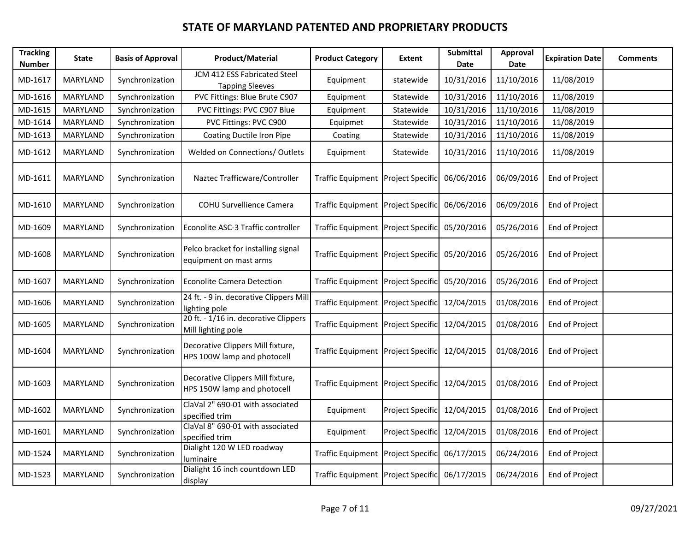| <b>Tracking</b><br><b>Number</b> | <b>State</b>    | <b>Basis of Approval</b> | <b>Product/Material</b>                                          | <b>Product Category</b>            | <b>Extent</b>           | <b>Submittal</b><br>Date | <b>Approval</b><br>Date | <b>Expiration Date</b> | <b>Comments</b> |
|----------------------------------|-----------------|--------------------------|------------------------------------------------------------------|------------------------------------|-------------------------|--------------------------|-------------------------|------------------------|-----------------|
| MD-1617                          | <b>MARYLAND</b> | Synchronization          | JCM 412 ESS Fabricated Steel<br><b>Tapping Sleeves</b>           | Equipment                          | statewide               | 10/31/2016               | 11/10/2016              | 11/08/2019             |                 |
| MD-1616                          | MARYLAND        | Synchronization          | PVC Fittings: Blue Brute C907                                    | Equipment                          | Statewide               | 10/31/2016               | 11/10/2016              | 11/08/2019             |                 |
| MD-1615                          | <b>MARYLAND</b> | Synchronization          | PVC Fittings: PVC C907 Blue                                      | Equipment                          | Statewide               | 10/31/2016               | 11/10/2016              | 11/08/2019             |                 |
| MD-1614                          | MARYLAND        | Synchronization          | PVC Fittings: PVC C900                                           | Equipmet                           | Statewide               | 10/31/2016               | 11/10/2016              | 11/08/2019             |                 |
| MD-1613                          | MARYLAND        | Synchronization          | Coating Ductile Iron Pipe                                        | Coating                            | Statewide               | 10/31/2016               | 11/10/2016              | 11/08/2019             |                 |
| MD-1612                          | MARYLAND        | Synchronization          | Welded on Connections/ Outlets                                   | Equipment                          | Statewide               | 10/31/2016               | 11/10/2016              | 11/08/2019             |                 |
| MD-1611                          | MARYLAND        | Synchronization          | Naztec Trafficware/Controller                                    | <b>Traffic Equipment</b>           | <b>Project Specific</b> | 06/06/2016               | 06/09/2016              | End of Project         |                 |
| MD-1610                          | MARYLAND        | Synchronization          | COHU Survellience Camera                                         | Traffic Equipment Project Specific |                         | 06/06/2016               | 06/09/2016              | End of Project         |                 |
| MD-1609                          | MARYLAND        | Synchronization          | Econolite ASC-3 Traffic controller                               | Traffic Equipment Project Specific |                         | 05/20/2016               | 05/26/2016              | End of Project         |                 |
| MD-1608                          | MARYLAND        | Synchronization          | Pelco bracket for installing signal<br>equipment on mast arms    | Traffic Equipment Project Specific |                         | 05/20/2016               | 05/26/2016              | End of Project         |                 |
| MD-1607                          | MARYLAND        | Synchronization          | Econolite Camera Detection                                       | Traffic Equipment Project Specific |                         | 05/20/2016               | 05/26/2016              | End of Project         |                 |
| MD-1606                          | MARYLAND        | Synchronization          | 24 ft. - 9 in. decorative Clippers Mill<br>lighting pole         | Traffic Equipment Project Specific |                         | 12/04/2015               | 01/08/2016              | End of Project         |                 |
| MD-1605                          | MARYLAND        | Synchronization          | 20 ft. - 1/16 in. decorative Clippers<br>Mill lighting pole      | <b>Traffic Equipment</b>           | Project Specific        | 12/04/2015               | 01/08/2016              | End of Project         |                 |
| MD-1604                          | MARYLAND        | Synchronization          | Decorative Clippers Mill fixture,<br>HPS 100W lamp and photocell | Traffic Equipment Project Specific |                         | 12/04/2015               | 01/08/2016              | End of Project         |                 |
| MD-1603                          | MARYLAND        | Synchronization          | Decorative Clippers Mill fixture,<br>HPS 150W lamp and photocell | Traffic Equipment Project Specific |                         | 12/04/2015               | 01/08/2016              | End of Project         |                 |
| MD-1602                          | MARYLAND        | Synchronization          | ClaVal 2" 690-01 with associated<br>specified trim               | Equipment                          | Project Specific        | 12/04/2015               | 01/08/2016              | End of Project         |                 |
| MD-1601                          | MARYLAND        | Synchronization          | ClaVal 8" 690-01 with associated<br>specified trim               | Equipment                          | Project Specific        | 12/04/2015               | 01/08/2016              | End of Project         |                 |
| MD-1524                          | MARYLAND        | Synchronization          | Dialight 120 W LED roadway<br>luminaire                          | Traffic Equipment Project Specific |                         | 06/17/2015               | 06/24/2016              | End of Project         |                 |
| MD-1523                          | MARYLAND        | Synchronization          | Dialight 16 inch countdown LED<br>display                        | Traffic Equipment Project Specific |                         | 06/17/2015               | 06/24/2016              | End of Project         |                 |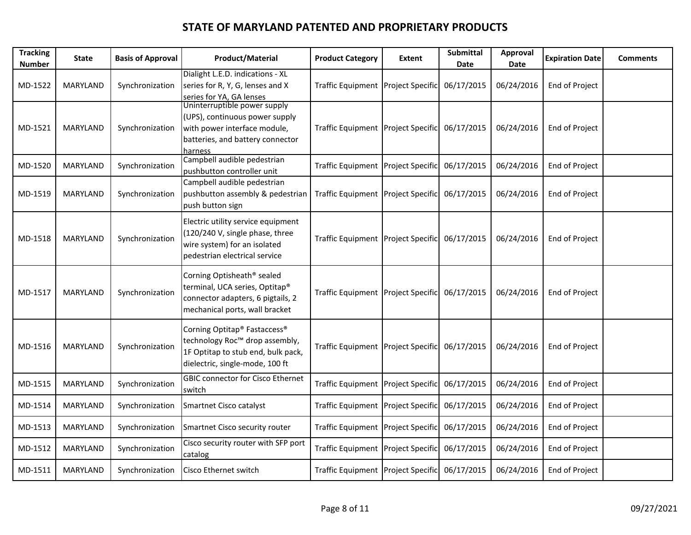| <b>Tracking</b><br><b>Number</b> | State    | <b>Basis of Approval</b> | <b>Product/Material</b>                                                                                                                                         | <b>Product Category</b>            | Extent | Submittal<br>Date | Approval<br>Date | <b>Expiration Date</b> | <b>Comments</b> |
|----------------------------------|----------|--------------------------|-----------------------------------------------------------------------------------------------------------------------------------------------------------------|------------------------------------|--------|-------------------|------------------|------------------------|-----------------|
| MD-1522                          | MARYLAND | Synchronization          | Dialight L.E.D. indications - XL<br>series for R, Y, G, lenses and X<br>series for YA, GA lenses                                                                | Traffic Equipment Project Specific |        | 06/17/2015        | 06/24/2016       | End of Project         |                 |
| MD-1521                          | MARYLAND | Synchronization          | Uninterruptible power supply<br>(UPS), continuous power supply<br>with power interface module,<br>batteries, and battery connector<br>harness                   | Traffic Equipment Project Specific |        | 06/17/2015        | 06/24/2016       | End of Project         |                 |
| MD-1520                          | MARYLAND | Synchronization          | Campbell audible pedestrian<br>pushbutton controller unit                                                                                                       | Traffic Equipment Project Specific |        | 06/17/2015        | 06/24/2016       | End of Project         |                 |
| MD-1519                          | MARYLAND | Synchronization          | Campbell audible pedestrian<br>pushbutton assembly & pedestrian<br>push button sign                                                                             | Traffic Equipment Project Specific |        | 06/17/2015        | 06/24/2016       | End of Project         |                 |
| MD-1518                          | MARYLAND | Synchronization          | Electric utility service equipment<br>(120/240 V, single phase, three<br>wire system) for an isolated<br>pedestrian electrical service                          | Traffic Equipment Project Specific |        | 06/17/2015        | 06/24/2016       | End of Project         |                 |
| MD-1517                          | MARYLAND | Synchronization          | Corning Optisheath® sealed<br>terminal, UCA series, Optitap®<br>connector adapters, 6 pigtails, 2<br>mechanical ports, wall bracket                             | Traffic Equipment Project Specific |        | 06/17/2015        | 06/24/2016       | End of Project         |                 |
| MD-1516                          | MARYLAND | Synchronization          | Corning Optitap <sup>®</sup> Fastaccess <sup>®</sup><br>technology Roc™ drop assembly,<br>1F Optitap to stub end, bulk pack,<br>dielectric, single-mode, 100 ft | Traffic Equipment Project Specific |        | 06/17/2015        | 06/24/2016       | End of Project         |                 |
| MD-1515                          | MARYLAND | Synchronization          | <b>GBIC connector for Cisco Ethernet</b><br>switch                                                                                                              | Traffic Equipment Project Specific |        | 06/17/2015        | 06/24/2016       | End of Project         |                 |
| MD-1514                          | MARYLAND | Synchronization          | Smartnet Cisco catalyst                                                                                                                                         | Traffic Equipment Project Specific |        | 06/17/2015        | 06/24/2016       | End of Project         |                 |
| MD-1513                          | MARYLAND | Synchronization          | Smartnet Cisco security router                                                                                                                                  | Traffic Equipment Project Specific |        | 06/17/2015        | 06/24/2016       | End of Project         |                 |
| MD-1512                          | MARYLAND | Synchronization          | Cisco security router with SFP port<br>catalog                                                                                                                  | Traffic Equipment Project Specific |        | 06/17/2015        | 06/24/2016       | End of Project         |                 |
| MD-1511                          | MARYLAND | Synchronization          | <b>Cisco Ethernet switch</b>                                                                                                                                    | Traffic Equipment Project Specific |        | 06/17/2015        | 06/24/2016       | End of Project         |                 |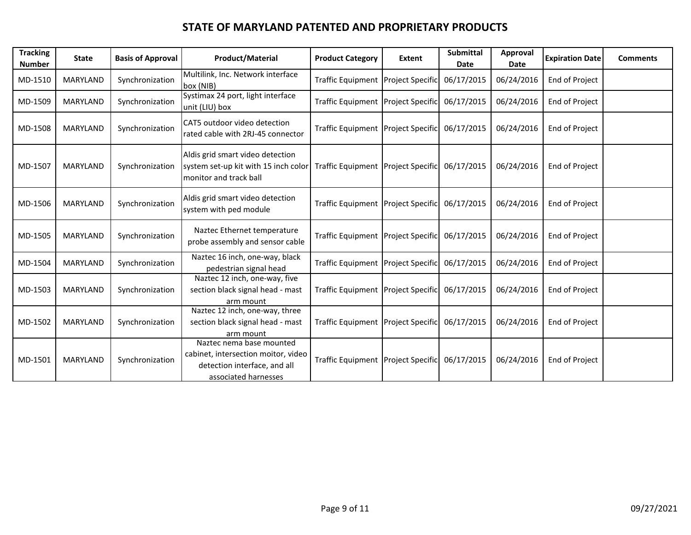| <b>Tracking</b><br><b>Number</b> | <b>State</b>    | <b>Basis of Approval</b> | <b>Product/Material</b>                                                                                                 | <b>Product Category</b>            | Extent                  | <b>Submittal</b><br>Date | Approval<br>Date | <b>Expiration Date</b> | <b>Comments</b> |
|----------------------------------|-----------------|--------------------------|-------------------------------------------------------------------------------------------------------------------------|------------------------------------|-------------------------|--------------------------|------------------|------------------------|-----------------|
| MD-1510                          | MARYLAND        | Synchronization          | Multilink, Inc. Network interface<br>box (NIB)                                                                          | Traffic Equipment Project Specific |                         | 06/17/2015               | 06/24/2016       | End of Project         |                 |
| MD-1509                          | MARYLAND        | Synchronization          | Systimax 24 port, light interface<br>unit (LIU) box                                                                     | Traffic Equipment Project Specific |                         | 06/17/2015               | 06/24/2016       | End of Project         |                 |
| MD-1508                          | MARYLAND        | Synchronization          | CAT5 outdoor video detection<br>rated cable with 2RJ-45 connector                                                       | Traffic Equipment Project Specific |                         | 06/17/2015               | 06/24/2016       | End of Project         |                 |
| MD-1507                          | MARYLAND        | Synchronization          | Aldis grid smart video detection<br>system set-up kit with 15 inch color<br>monitor and track ball                      | Traffic Equipment Project Specific |                         | 06/17/2015               | 06/24/2016       | End of Project         |                 |
| MD-1506                          | MARYLAND        | Synchronization          | Aldis grid smart video detection<br>system with ped module                                                              | Traffic Equipment Project Specific |                         | 06/17/2015               | 06/24/2016       | End of Project         |                 |
| MD-1505                          | MARYLAND        | Synchronization          | Naztec Ethernet temperature<br>probe assembly and sensor cable                                                          | Traffic Equipment Project Specific |                         | 06/17/2015               | 06/24/2016       | End of Project         |                 |
| MD-1504                          | MARYLAND        | Synchronization          | Naztec 16 inch, one-way, black<br>pedestrian signal head                                                                | <b>Traffic Equipment</b>           | <b>Project Specific</b> | 06/17/2015               | 06/24/2016       | End of Project         |                 |
| MD-1503                          | MARYLAND        | Synchronization          | Naztec 12 inch, one-way, five<br>section black signal head - mast<br>arm mount                                          | Traffic Equipment Project Specific |                         | 06/17/2015               | 06/24/2016       | End of Project         |                 |
| MD-1502                          | <b>MARYLAND</b> | Synchronization          | Naztec 12 inch, one-way, three<br>section black signal head - mast<br>arm mount                                         | Traffic Equipment Project Specific |                         | 06/17/2015               | 06/24/2016       | End of Project         |                 |
| MD-1501                          | <b>MARYLAND</b> | Synchronization          | Naztec nema base mounted<br>cabinet, intersection moitor, video<br>detection interface, and all<br>associated harnesses | Traffic Equipment Project Specific |                         | 06/17/2015               | 06/24/2016       | End of Project         |                 |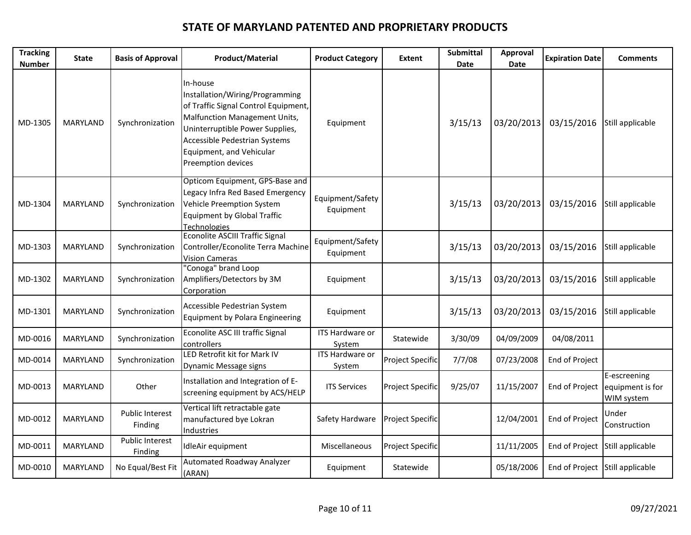| <b>Tracking</b><br><b>Number</b> | <b>State</b>    | <b>Basis of Approval</b>          | <b>Product/Material</b>                                                                                                                                                                                                                    | <b>Product Category</b>       | Extent                  | Submittal<br>Date | Approval<br>Date | <b>Expiration Date</b>          | <b>Comments</b>                                |
|----------------------------------|-----------------|-----------------------------------|--------------------------------------------------------------------------------------------------------------------------------------------------------------------------------------------------------------------------------------------|-------------------------------|-------------------------|-------------------|------------------|---------------------------------|------------------------------------------------|
| MD-1305                          | MARYLAND        | Synchronization                   | In-house<br>Installation/Wiring/Programming<br>of Traffic Signal Control Equipment,<br>Malfunction Management Units,<br>Uninterruptible Power Supplies,<br>Accessible Pedestrian Systems<br>Equipment, and Vehicular<br>Preemption devices | Equipment                     |                         | 3/15/13           | 03/20/2013       | 03/15/2016                      | Still applicable                               |
| MD-1304                          | <b>MARYLAND</b> | Synchronization                   | Opticom Equipment, GPS-Base and<br>Legacy Infra Red Based Emergency<br>Vehicle Preemption System<br><b>Equipment by Global Traffic</b><br><b>Technologies</b>                                                                              | Equipment/Safety<br>Equipment |                         | 3/15/13           | 03/20/2013       | 03/15/2016                      | Still applicable                               |
| MD-1303                          | <b>MARYLAND</b> | Synchronization                   | <b>Econolite ASCIII Traffic Signal</b><br>Controller/Econolite Terra Machine<br><b>Vision Cameras</b>                                                                                                                                      | Equipment/Safety<br>Equipment |                         | 3/15/13           | 03/20/2013       | 03/15/2016                      | Still applicable                               |
| MD-1302                          | MARYLAND        | Synchronization                   | "Conoga" brand Loop<br>Amplifiers/Detectors by 3M<br>Corporation                                                                                                                                                                           | Equipment                     |                         | 3/15/13           | 03/20/2013       | 03/15/2016                      | Still applicable                               |
| MD-1301                          | <b>MARYLAND</b> | Synchronization                   | Accessible Pedestrian System<br>Equipment by Polara Engineering                                                                                                                                                                            | Equipment                     |                         | 3/15/13           | 03/20/2013       | 03/15/2016                      | Still applicable                               |
| MD-0016                          | MARYLAND        | Synchronization                   | Econolite ASC III traffic Signal<br>controllers                                                                                                                                                                                            | ITS Hardware or<br>System     | Statewide               | 3/30/09           | 04/09/2009       | 04/08/2011                      |                                                |
| MD-0014                          | MARYLAND        | Synchronization                   | LED Retrofit kit for Mark IV<br>Dynamic Message signs                                                                                                                                                                                      | ITS Hardware or<br>System     | Project Specific        | 7/7/08            | 07/23/2008       | End of Project                  |                                                |
| MD-0013                          | <b>MARYLAND</b> | Other                             | Installation and Integration of E-<br>screening equipment by ACS/HELP                                                                                                                                                                      | <b>ITS Services</b>           | <b>Project Specific</b> | 9/25/07           | 11/15/2007       | End of Project                  | E-escreening<br>equipment is for<br>WIM system |
| MD-0012                          | <b>MARYLAND</b> | <b>Public Interest</b><br>Finding | Vertical lift retractable gate<br>manufactured bye Lokran<br>Industries                                                                                                                                                                    | Safety Hardware               | Project Specific        |                   | 12/04/2001       | End of Project                  | Under<br>Construction                          |
| MD-0011                          | <b>MARYLAND</b> | Public Interest<br>Finding        | IdleAir equipment                                                                                                                                                                                                                          | Miscellaneous                 | Project Specific        |                   | 11/11/2005       | End of Project                  | Still applicable                               |
| MD-0010                          | MARYLAND        | No Equal/Best Fit                 | <b>Automated Roadway Analyzer</b><br>(ARAN)                                                                                                                                                                                                | Equipment                     | Statewide               |                   | 05/18/2006       | End of Project Still applicable |                                                |